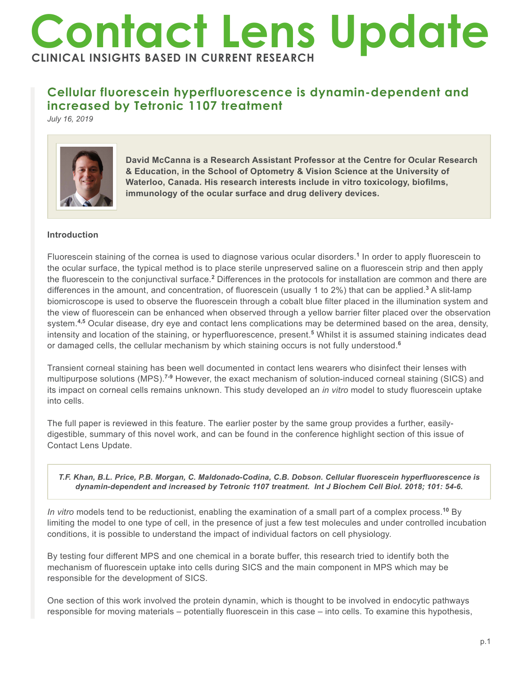# **Contact Lens Update CLINICAL INSIGHTS BASED IN CURRENT RESEARCH**

# **Cellular fluorescein hyperfluorescence is dynamin-dependent and increased by Tetronic 1107 treatment**

*July 16, 2019*



**David McCanna is a Research Assistant Professor at the Centre for Ocular Research & Education, in the School of Optometry & Vision Science at the University of Waterloo, Canada. His research interests include in vitro toxicology, biofilms, immunology of the ocular surface and drug delivery devices.**

# **Introduction**

Fluorescein staining of the cornea is used to diagnose various ocular disorders.<sup>1</sup> In order to apply fluorescein to the ocular surface, the typical method is to place sterile unpreserved saline on a fluorescein strip and then apply the fluorescein to the conjunctival surface.<sup>2</sup> Differences in the protocols for installation are common and there are differences in the amount, and concentration, of fluorescein (usually 1 to 2%) that can be applied.**<sup>3</sup>** A slit-lamp biomicroscope is used to observe the fluorescein through a cobalt blue filter placed in the illumination system and the view of fluorescein can be enhanced when observed through a yellow barrier filter placed over the observation system.**4,5** Ocular disease, dry eye and contact lens complications may be determined based on the area, density, intensity and location of the staining, or hyperfluorescence, present.**<sup>5</sup>** Whilst it is assumed staining indicates dead or damaged cells, the cellular mechanism by which staining occurs is not fully understood.**<sup>6</sup>**

Transient corneal staining has been well documented in contact lens wearers who disinfect their lenses with multipurpose solutions (MPS).**7-9** However, the exact mechanism of solution-induced corneal staining (SICS) and its impact on corneal cells remains unknown. This study developed an *in vitro* model to study fluorescein uptake into cells.

The full paper is reviewed in this feature. The earlier poster by the same group provides a further, easilydigestible, summary of this novel work, and can be found in the conference highlight section of this issue of Contact Lens Update.

#### *T.F. Khan, B.L. Price, P.B. Morgan, C. Maldonado-Codina, C.B. Dobson. Cellular fluorescein hyperfluorescence is dynamin-dependent and increased by Tetronic 1107 treatment. Int J Biochem Cell Biol. 2018; 101: 54-6.*

*In vitro* models tend to be reductionist, enabling the examination of a small part of a complex process.**<sup>10</sup>** By limiting the model to one type of cell, in the presence of just a few test molecules and under controlled incubation conditions, it is possible to understand the impact of individual factors on cell physiology.

By testing four different MPS and one chemical in a borate buffer, this research tried to identify both the mechanism of fluorescein uptake into cells during SICS and the main component in MPS which may be responsible for the development of SICS.

One section of this work involved the protein dynamin, which is thought to be involved in endocytic pathways responsible for moving materials – potentially fluorescein in this case – into cells. To examine this hypothesis,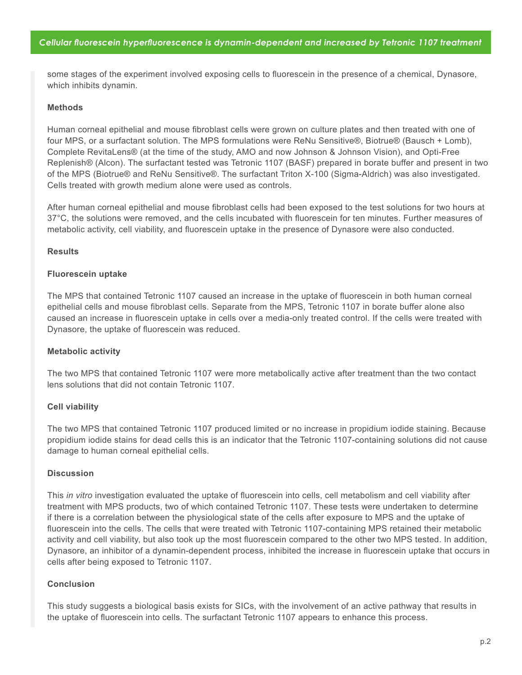some stages of the experiment involved exposing cells to fluorescein in the presence of a chemical, Dynasore, which inhibits dynamin.

#### **Methods**

Human corneal epithelial and mouse fibroblast cells were grown on culture plates and then treated with one of four MPS, or a surfactant solution. The MPS formulations were ReNu Sensitive®, Biotrue® (Bausch + Lomb), Complete RevitaLens® (at the time of the study, AMO and now Johnson & Johnson Vision), and Opti-Free Replenish® (Alcon). The surfactant tested was Tetronic 1107 (BASF) prepared in borate buffer and present in two of the MPS (Biotrue® and ReNu Sensitive®. The surfactant Triton X-100 (Sigma-Aldrich) was also investigated. Cells treated with growth medium alone were used as controls.

After human corneal epithelial and mouse fibroblast cells had been exposed to the test solutions for two hours at 37°C, the solutions were removed, and the cells incubated with fluorescein for ten minutes. Further measures of metabolic activity, cell viability, and fluorescein uptake in the presence of Dynasore were also conducted.

#### **Results**

#### **Fluorescein uptake**

The MPS that contained Tetronic 1107 caused an increase in the uptake of fluorescein in both human corneal epithelial cells and mouse fibroblast cells. Separate from the MPS, Tetronic 1107 in borate buffer alone also caused an increase in fluorescein uptake in cells over a media-only treated control. If the cells were treated with Dynasore, the uptake of fluorescein was reduced.

#### **Metabolic activity**

The two MPS that contained Tetronic 1107 were more metabolically active after treatment than the two contact lens solutions that did not contain Tetronic 1107.

## **Cell viability**

The two MPS that contained Tetronic 1107 produced limited or no increase in propidium iodide staining. Because propidium iodide stains for dead cells this is an indicator that the Tetronic 1107-containing solutions did not cause damage to human corneal epithelial cells.

#### **Discussion**

This *in vitro* investigation evaluated the uptake of fluorescein into cells, cell metabolism and cell viability after treatment with MPS products, two of which contained Tetronic 1107. These tests were undertaken to determine if there is a correlation between the physiological state of the cells after exposure to MPS and the uptake of fluorescein into the cells. The cells that were treated with Tetronic 1107-containing MPS retained their metabolic activity and cell viability, but also took up the most fluorescein compared to the other two MPS tested. In addition, Dynasore, an inhibitor of a dynamin-dependent process, inhibited the increase in fluorescein uptake that occurs in cells after being exposed to Tetronic 1107.

## **Conclusion**

This study suggests a biological basis exists for SICs, with the involvement of an active pathway that results in the uptake of fluorescein into cells. The surfactant Tetronic 1107 appears to enhance this process.